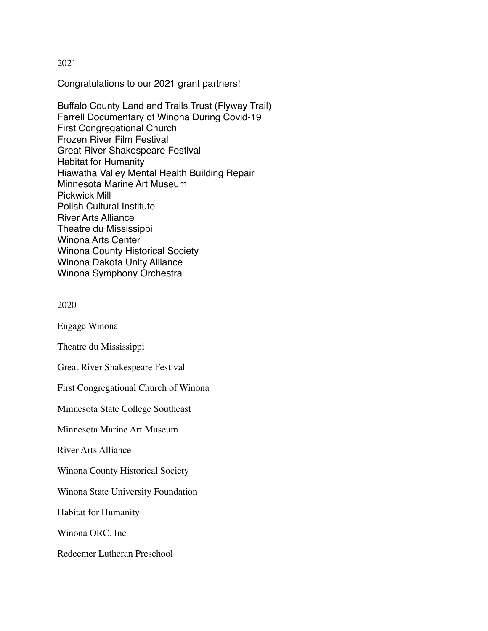## 2021

Congratulations to our 2021 grant partners!

Buffalo County Land and Trails Trust (Flyway Trail) Farrell Documentary of Winona During Covid-19 First Congregational Church Frozen River Film Festival Great River Shakespeare Festival Habitat for Humanity Hiawatha Valley Mental Health Building Repair Minnesota Marine Art Museum Pickwick Mill Polish Cultural Institute River Arts Alliance Theatre du Mississippi Winona Arts Center Winona County Historical Society Winona Dakota Unity Alliance Winona Symphony Orchestra

```
2020
```
Engage Winona

Theatre du Mississippi

Great River Shakespeare Festival

First Congregational Church of Winona

Minnesota State College Southeast

Minnesota Marine Art Museum

River Arts Alliance

Winona County Historical Society

Winona State University Foundation

Habitat for Humanity

Winona ORC, Inc

Redeemer Lutheran Preschool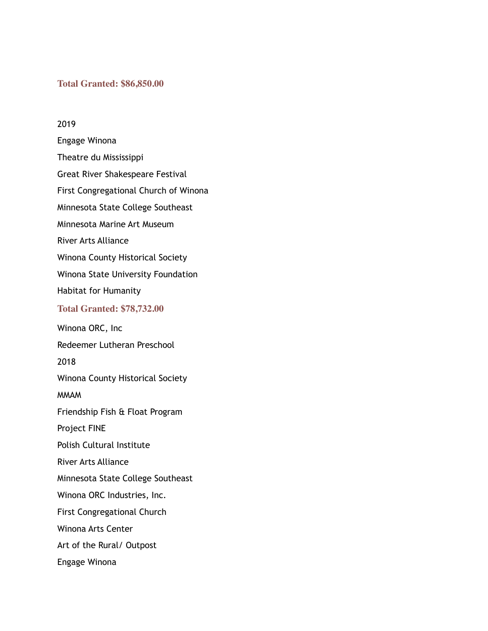## **Total Granted: \$86,850.00**

2019 Engage Winona Theatre du Mississippi Great River Shakespeare Festival First Congregational Church of Winona Minnesota State College Southeast Minnesota Marine Art Museum River Arts Alliance Winona County Historical Society Winona State University Foundation Habitat for Humanity **Total Granted: \$78,732.00** Winona ORC, Inc Redeemer Lutheran Preschool 2018 Winona County Historical Society MMAM Friendship Fish & Float Program Project FINE Polish Cultural Institute River Arts Alliance Minnesota State College Southeast Winona ORC Industries, Inc. First Congregational Church Winona Arts Center Art of the Rural/ Outpost Engage Winona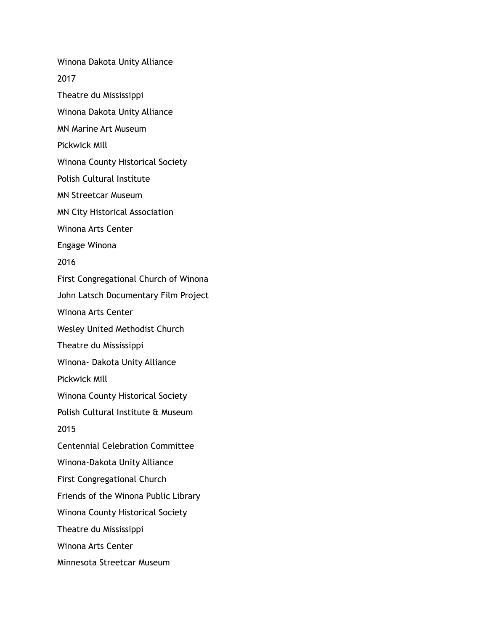Winona Dakota Unity Alliance

2017

Theatre du Mississippi

Winona Dakota Unity Alliance

MN Marine Art Museum

Pickwick Mill

Winona County Historical Society

Polish Cultural Institute

MN Streetcar Museum

MN City Historical Association

Winona Arts Center

Engage Winona

2016

First Congregational Church of Winona

John Latsch Documentary Film Project

Winona Arts Center

Wesley United Methodist Church

Theatre du Mississippi

Winona- Dakota Unity Alliance

Pickwick Mill

Winona County Historical Society

Polish Cultural Institute & Museum

2015

Centennial Celebration Committee

Winona-Dakota Unity Alliance

First Congregational Church

Friends of the Winona Public Library

Winona County Historical Society

Theatre du Mississippi

Winona Arts Center

Minnesota Streetcar Museum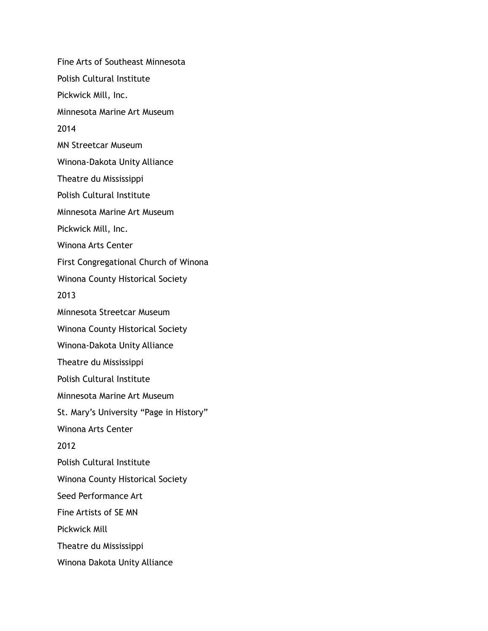Fine Arts of Southeast Minnesota Polish Cultural Institute Pickwick Mill, Inc. Minnesota Marine Art Museum 2014 MN Streetcar Museum Winona-Dakota Unity Alliance Theatre du Mississippi Polish Cultural Institute Minnesota Marine Art Museum Pickwick Mill, Inc. Winona Arts Center First Congregational Church of Winona Winona County Historical Society 2013 Minnesota Streetcar Museum Winona County Historical Society Winona-Dakota Unity Alliance Theatre du Mississippi Polish Cultural Institute Minnesota Marine Art Museum St. Mary's University "Page in History" Winona Arts Center 2012 Polish Cultural Institute Winona County Historical Society Seed Performance Art Fine Artists of SE MN Pickwick Mill Theatre du Mississippi Winona Dakota Unity Alliance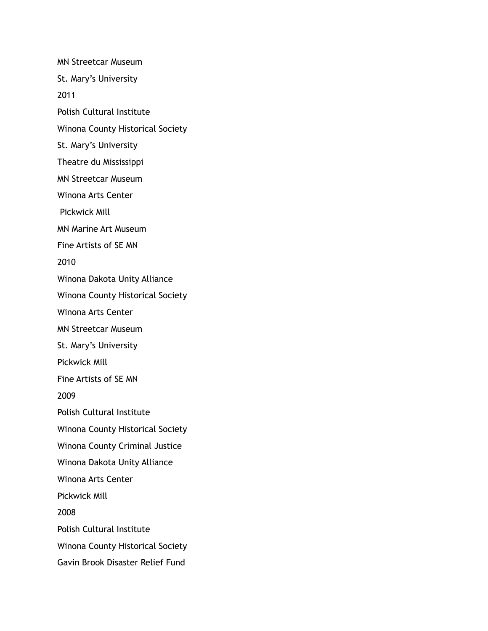MN Streetcar Museum St. Mary's University 2011 Polish Cultural Institute Winona County Historical Society St. Mary's University Theatre du Mississippi MN Streetcar Museum Winona Arts Center Pickwick Mill MN Marine Art Museum Fine Artists of SE MN 2010 Winona Dakota Unity Alliance Winona County Historical Society Winona Arts Center MN Streetcar Museum St. Mary's University Pickwick Mill Fine Artists of SE MN 2009 Polish Cultural Institute Winona County Historical Society Winona County Criminal Justice Winona Dakota Unity Alliance Winona Arts Center Pickwick Mill 2008 Polish Cultural Institute Winona County Historical Society Gavin Brook Disaster Relief Fund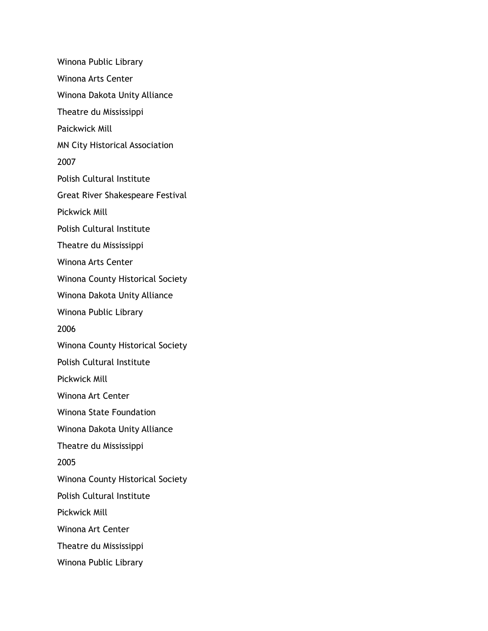Winona Public Library Winona Arts Center Winona Dakota Unity Alliance Theatre du Mississippi Paickwick Mill MN City Historical Association 2007 Polish Cultural Institute Great River Shakespeare Festival Pickwick Mill Polish Cultural Institute Theatre du Mississippi Winona Arts Center Winona County Historical Society Winona Dakota Unity Alliance Winona Public Library 2006 Winona County Historical Society Polish Cultural Institute Pickwick Mill Winona Art Center Winona State Foundation Winona Dakota Unity Alliance Theatre du Mississippi 2005 Winona County Historical Society Polish Cultural Institute Pickwick Mill Winona Art Center Theatre du Mississippi Winona Public Library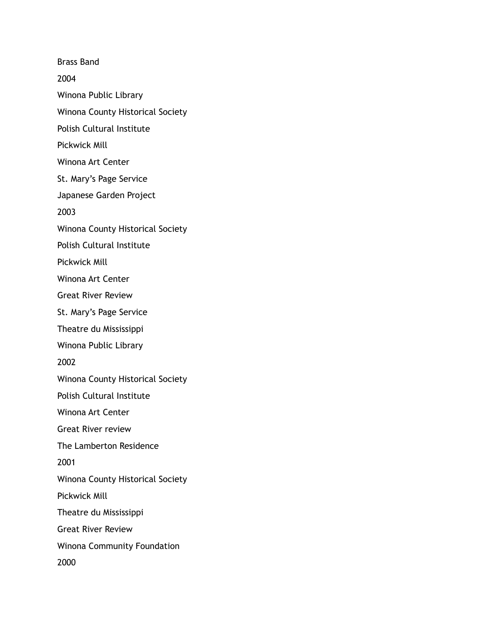Brass Band 2004 Winona Public Library Winona County Historical Society Polish Cultural Institute Pickwick Mill Winona Art Center St. Mary's Page Service Japanese Garden Project 2003 Winona County Historical Society Polish Cultural Institute Pickwick Mill Winona Art Center Great River Review St. Mary's Page Service Theatre du Mississippi Winona Public Library 2002 Winona County Historical Society Polish Cultural Institute Winona Art Center Great River review The Lamberton Residence 2001 Winona County Historical Society Pickwick Mill Theatre du Mississippi Great River Review Winona Community Foundation 2000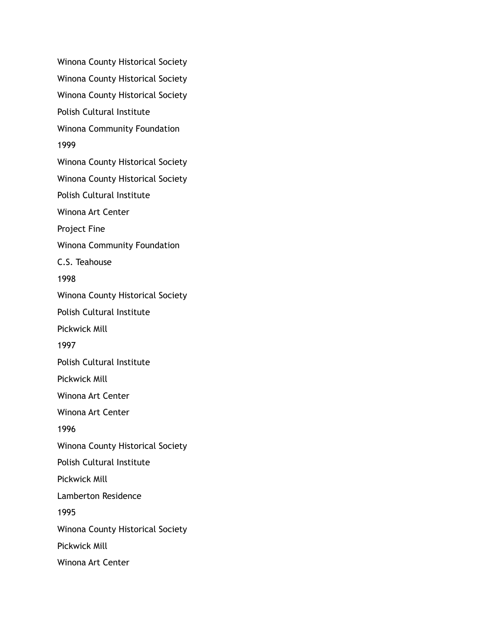Winona County Historical Society Winona County Historical Society Winona County Historical Society Polish Cultural Institute Winona Community Foundation 1999 Winona County Historical Society Winona County Historical Society Polish Cultural Institute Winona Art Center Project Fine Winona Community Foundation C.S. Teahouse 1998 Winona County Historical Society Polish Cultural Institute Pickwick Mill 1997 Polish Cultural Institute Pickwick Mill Winona Art Center Winona Art Center 1996 Winona County Historical Society Polish Cultural Institute Pickwick Mill Lamberton Residence 1995 Winona County Historical Society Pickwick Mill Winona Art Center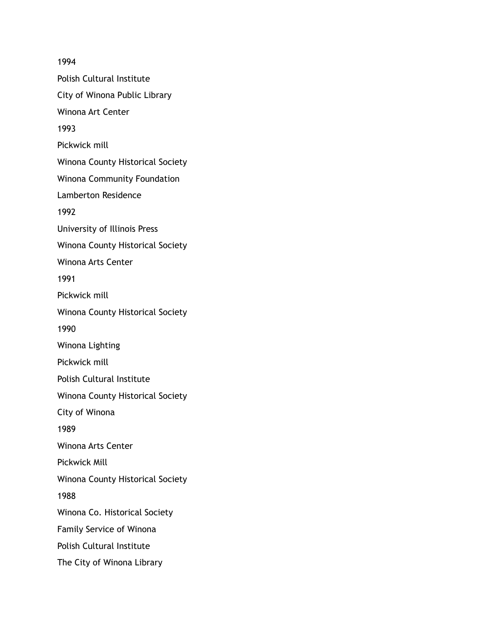1994 Polish Cultural Institute City of Winona Public Library Winona Art Center 1993 Pickwick mill Winona County Historical Society Winona Community Foundation Lamberton Residence 1992 University of Illinois Press Winona County Historical Society Winona Arts Center 1991 Pickwick mill Winona County Historical Society 1990 Winona Lighting Pickwick mill Polish Cultural Institute Winona County Historical Society City of Winona 1989 Winona Arts Center Pickwick Mill Winona County Historical Society 1988 Winona Co. Historical Society Family Service of Winona Polish Cultural Institute The City of Winona Library